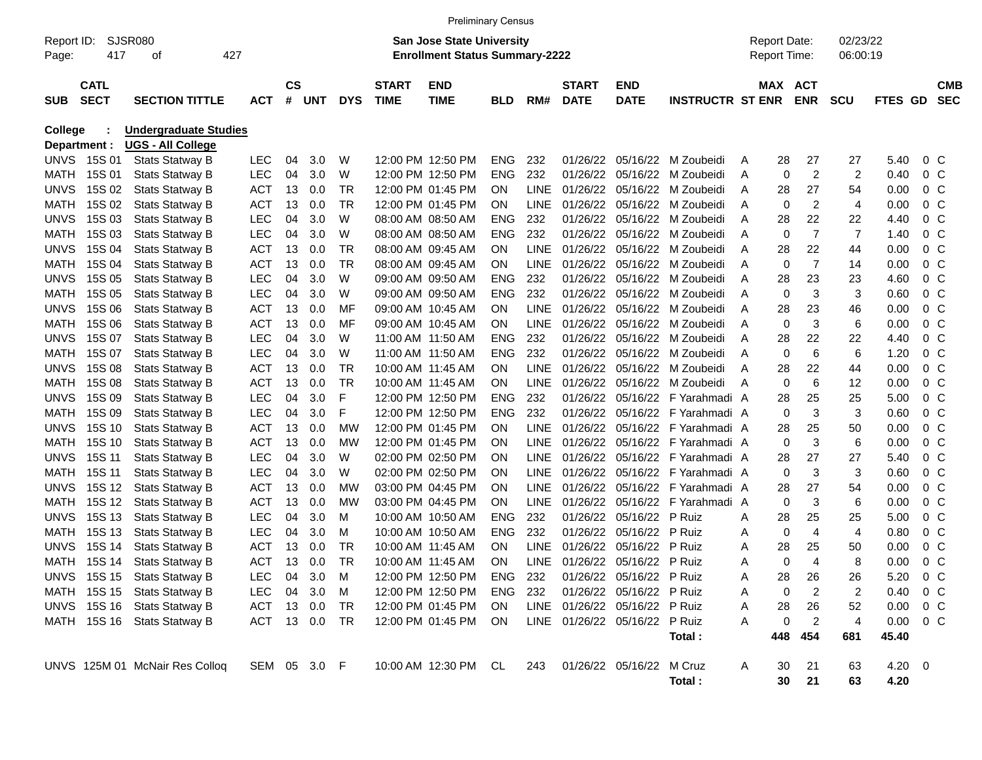|                     |             |                                |            |                                                                           |              |            |              | <b>Preliminary Census</b> |            |             |              |                               |                                            |   |     |                      |                |               |                |            |
|---------------------|-------------|--------------------------------|------------|---------------------------------------------------------------------------|--------------|------------|--------------|---------------------------|------------|-------------|--------------|-------------------------------|--------------------------------------------|---|-----|----------------------|----------------|---------------|----------------|------------|
| Report ID:<br>Page: | 417         | SJSR080<br>οf                  | 427        | <b>San Jose State University</b><br><b>Enrollment Status Summary-2222</b> |              |            |              |                           |            |             |              |                               | <b>Report Date:</b><br><b>Report Time:</b> |   |     | 02/23/22<br>06:00:19 |                |               |                |            |
|                     | <b>CATL</b> |                                |            | $\mathsf{cs}$                                                             |              |            | <b>START</b> | <b>END</b>                |            |             | <b>START</b> | <b>END</b>                    |                                            |   |     | MAX ACT              |                |               |                | <b>CMB</b> |
| <b>SUB</b>          | <b>SECT</b> | <b>SECTION TITTLE</b>          | <b>ACT</b> | #                                                                         | UNT          | <b>DYS</b> | <b>TIME</b>  | <b>TIME</b>               | <b>BLD</b> | RM#         | <b>DATE</b>  | <b>DATE</b>                   | <b>INSTRUCTR ST ENR</b>                    |   |     | <b>ENR</b>           | <b>SCU</b>     | FTES GD       |                | <b>SEC</b> |
| <b>College</b>      |             | <b>Undergraduate Studies</b>   |            |                                                                           |              |            |              |                           |            |             |              |                               |                                            |   |     |                      |                |               |                |            |
| Department :        |             | <b>UGS - All College</b>       |            |                                                                           |              |            |              |                           |            |             |              |                               |                                            |   |     |                      |                |               |                |            |
| <b>UNVS</b>         | 15S 01      | <b>Stats Statway B</b>         | <b>LEC</b> | 04                                                                        | 3.0          | W          |              | 12:00 PM 12:50 PM         | <b>ENG</b> | 232         | 01/26/22     |                               | 05/16/22 M Zoubeidi                        | A | 28  | 27                   | 27             | 5.40          | $0\,C$         |            |
| <b>MATH</b>         | 15S 01      | <b>Stats Statway B</b>         | <b>LEC</b> | 04                                                                        | 3.0          | W          |              | 12:00 PM 12:50 PM         | <b>ENG</b> | 232         | 01/26/22     | 05/16/22                      | M Zoubeidi                                 | A | 0   | $\overline{2}$       | $\overline{2}$ | 0.40          | 0 <sup>C</sup> |            |
| <b>UNVS</b>         | 15S 02      | Stats Statway B                | <b>ACT</b> | 13                                                                        | 0.0          | <b>TR</b>  |              | 12:00 PM 01:45 PM         | ON         | <b>LINE</b> | 01/26/22     | 05/16/22                      | M Zoubeidi                                 | A | 28  | 27                   | 54             | 0.00          | 0 <sup>C</sup> |            |
| <b>MATH</b>         | 15S 02      | Stats Statway B                | <b>ACT</b> | 13                                                                        | 0.0          | <b>TR</b>  |              | 12:00 PM 01:45 PM         | ON         | <b>LINE</b> | 01/26/22     | 05/16/22                      | M Zoubeidi                                 | A | 0   | $\overline{2}$       | $\overline{4}$ | 0.00          | 0 <sup>C</sup> |            |
| <b>UNVS</b>         | 15S 03      | Stats Statway B                | <b>LEC</b> | 04                                                                        | 3.0          | W          |              | 08:00 AM 08:50 AM         | <b>ENG</b> | 232         | 01/26/22     | 05/16/22                      | M Zoubeidi                                 | A | 28  | 22                   | 22             | 4.40          | 0 <sup>C</sup> |            |
| <b>MATH</b>         | 15S 03      | <b>Stats Statway B</b>         | <b>LEC</b> | 04                                                                        | 3.0          | W          |              | 08:00 AM 08:50 AM         | <b>ENG</b> | 232         | 01/26/22     | 05/16/22                      | M Zoubeidi                                 | A | 0   | $\overline{7}$       | $\overline{7}$ | 1.40          | 0 <sup>C</sup> |            |
| <b>UNVS</b>         | 15S 04      | <b>Stats Statway B</b>         | <b>ACT</b> | 13                                                                        | 0.0          | <b>TR</b>  |              | 08:00 AM 09:45 AM         | ON         | <b>LINE</b> | 01/26/22     | 05/16/22                      | M Zoubeidi                                 | A | 28  | 22                   | 44             | 0.00          | 0 <sup>C</sup> |            |
| <b>MATH</b>         | 15S 04      | <b>Stats Statway B</b>         | <b>ACT</b> | 13                                                                        | 0.0          | <b>TR</b>  |              | 08:00 AM 09:45 AM         | ON         | <b>LINE</b> | 01/26/22     | 05/16/22                      | M Zoubeidi                                 | A | 0   | $\overline{7}$       | 14             | 0.00          | 0 <sup>C</sup> |            |
| <b>UNVS</b>         | 15S 05      | Stats Statway B                | <b>LEC</b> | 04                                                                        | 3.0          | W          |              | 09:00 AM 09:50 AM         | <b>ENG</b> | 232         | 01/26/22     | 05/16/22                      | M Zoubeidi                                 | A | 28  | 23                   | 23             | 4.60          | 0 <sup>C</sup> |            |
| MATH                | 15S 05      | Stats Statway B                | LEC        | 04                                                                        | 3.0          | W          |              | 09:00 AM 09:50 AM         | <b>ENG</b> | 232         | 01/26/22     | 05/16/22                      | M Zoubeidi                                 | A | 0   | 3                    | 3              | 0.60          | 0 <sup>C</sup> |            |
| <b>UNVS</b>         | 15S 06      | Stats Statway B                | <b>ACT</b> | 13                                                                        | 0.0          | MF         |              | 09:00 AM 10:45 AM         | ON         | <b>LINE</b> | 01/26/22     | 05/16/22                      | M Zoubeidi                                 | A | 28  | 23                   | 46             | 0.00          | 0 <sup>C</sup> |            |
| <b>MATH</b>         | 15S 06      | Stats Statway B                | <b>ACT</b> | 13                                                                        | 0.0          | MF         |              | 09:00 AM 10:45 AM         | ON         | <b>LINE</b> | 01/26/22     | 05/16/22                      | M Zoubeidi                                 | A | 0   | 3                    | 6              | 0.00          | 0 <sup>C</sup> |            |
| <b>UNVS</b>         | 15S 07      | Stats Statway B                | LEC        | 04                                                                        | 3.0          | W          |              | 11:00 AM 11:50 AM         | <b>ENG</b> | 232         | 01/26/22     | 05/16/22                      | M Zoubeidi                                 | A | 28  | 22                   | 22             | 4.40          | 0 <sup>C</sup> |            |
| <b>MATH</b>         | 15S 07      | Stats Statway B                | LEC        | 04                                                                        | 3.0          | W          |              | 11:00 AM 11:50 AM         | <b>ENG</b> | 232         | 01/26/22     | 05/16/22                      | M Zoubeidi                                 | A | 0   | 6                    | 6              | 1.20          | 0 <sup>C</sup> |            |
| <b>UNVS</b>         | 15S 08      | <b>Stats Statway B</b>         | <b>ACT</b> | 13                                                                        | 0.0          | <b>TR</b>  |              | 10:00 AM 11:45 AM         | ON         | <b>LINE</b> | 01/26/22     | 05/16/22                      | M Zoubeidi                                 | A | 28  | 22                   | 44             | 0.00          | 0 <sup>C</sup> |            |
| <b>MATH</b>         | 15S 08      | Stats Statway B                | <b>ACT</b> | 13                                                                        | 0.0          | <b>TR</b>  |              | 10:00 AM 11:45 AM         | ON         | <b>LINE</b> | 01/26/22     | 05/16/22                      | M Zoubeidi                                 | A | 0   | 6                    | 12             | 0.00          | 0 <sup>C</sup> |            |
| <b>UNVS</b>         | 15S 09      | <b>Stats Statway B</b>         | LEC        | 04                                                                        | 3.0          | F          |              | 12:00 PM 12:50 PM         | <b>ENG</b> | 232         | 01/26/22     | 05/16/22                      | F Yarahmadi A                              |   | 28  | 25                   | 25             | 5.00          | 0 <sup>C</sup> |            |
| <b>MATH</b>         | 15S 09      | Stats Statway B                | LEC        | 04                                                                        | 3.0          | F          |              | 12:00 PM 12:50 PM         | <b>ENG</b> | 232         | 01/26/22     | 05/16/22                      | F Yarahmadi A                              |   | 0   | 3                    | 3              | 0.60          | 0 <sup>C</sup> |            |
| <b>UNVS</b>         | 15S 10      | Stats Statway B                | <b>ACT</b> | 13                                                                        | 0.0          | <b>MW</b>  |              | 12:00 PM 01:45 PM         | ON         | <b>LINE</b> | 01/26/22     | 05/16/22                      | F Yarahmadi A                              |   | 28  | 25                   | 50             | 0.00          | 0 <sup>C</sup> |            |
| MATH                | 15S 10      | Stats Statway B                | <b>ACT</b> | 13                                                                        | 0.0          | <b>MW</b>  |              | 12:00 PM 01:45 PM         | ON         | <b>LINE</b> | 01/26/22     | 05/16/22                      | F Yarahmadi A                              |   | 0   | 3                    | 6              | 0.00          | 0 <sup>C</sup> |            |
| <b>UNVS</b>         | 15S 11      | <b>Stats Statway B</b>         | LEC        | 04                                                                        | 3.0          | W          |              | 02:00 PM 02:50 PM         | ΟN         | <b>LINE</b> | 01/26/22     | 05/16/22                      | F Yarahmadi A                              |   | 28  | 27                   | 27             | 5.40          | 0 <sup>C</sup> |            |
| MATH                | 15S 11      | Stats Statway B                | LEC        | 04                                                                        | 3.0          | W          |              | 02:00 PM 02:50 PM         | ON         | <b>LINE</b> | 01/26/22     | 05/16/22                      | F Yarahmadi A                              |   | 0   | 3                    | 3              | 0.60          | 0 <sup>C</sup> |            |
| <b>UNVS</b>         | 15S 12      | Stats Statway B                | <b>ACT</b> | 13                                                                        | 0.0          | МW         |              | 03:00 PM 04:45 PM         | ON         | <b>LINE</b> | 01/26/22     | 05/16/22                      | F Yarahmadi A                              |   | 28  | 27                   | 54             | 0.00          | 0 <sup>C</sup> |            |
| MATH                | 15S 12      | <b>Stats Statway B</b>         | <b>ACT</b> | 13                                                                        | 0.0          | <b>MW</b>  |              | 03:00 PM 04:45 PM         | ON         | <b>LINE</b> | 01/26/22     | 05/16/22                      | F Yarahmadi A                              |   | 0   | 3                    | 6              | 0.00          | 0 <sup>C</sup> |            |
| <b>UNVS</b>         | 15S 13      | <b>Stats Statway B</b>         | LEC        | 04                                                                        | 3.0          | м          |              | 10:00 AM 10:50 AM         | <b>ENG</b> | 232         | 01/26/22     | 05/16/22                      | P Ruiz                                     | A | 28  | 25                   | 25             | 5.00          | 0 <sup>C</sup> |            |
| MATH                | 15S 13      | Stats Statway B                | LEC        | 04                                                                        | 3.0          | м          |              | 10:00 AM 10:50 AM         | <b>ENG</b> | 232         | 01/26/22     | 05/16/22                      | P Ruiz                                     | A | 0   | 4                    | $\overline{4}$ | 0.80          | 0 <sup>C</sup> |            |
| <b>UNVS</b>         | 15S 14      | Stats Statway B                | <b>ACT</b> | 13                                                                        | 0.0          | <b>TR</b>  |              | 10:00 AM 11:45 AM         | ON         | <b>LINE</b> | 01/26/22     | 05/16/22                      | P Ruiz                                     | A | 28  | 25                   | 50             | 0.00          | 0 <sup>C</sup> |            |
| <b>MATH</b>         | 15S 14      | Stats Statway B                | <b>ACT</b> | 13                                                                        | 0.0          | <b>TR</b>  |              | 10:00 AM 11:45 AM         | <b>ON</b>  | <b>LINE</b> | 01/26/22     | 05/16/22 P Ruiz               |                                            | A | 0   | 4                    | 8              | 0.00          | 0 <sup>C</sup> |            |
|                     |             | UNVS 15S 15 Stats Statway B    | <b>LEC</b> | 04                                                                        | 3.0          | M          |              | 12:00 PM 12:50 PM         | ENG        | 232         |              | 01/26/22 05/16/22 P Ruiz      |                                            | Α | 28  | 26                   | 26             | 5.20          | $0\,C$         |            |
|                     |             | MATH 15S 15 Stats Statway B    | <b>LEC</b> |                                                                           | 04 3.0       | M          |              | 12:00 PM 12:50 PM         | ENG        | 232         |              | 01/26/22 05/16/22 P Ruiz      |                                            | A | 0   | $\overline{c}$       | 2              | 0.40          | $0\,C$         |            |
|                     |             | UNVS 15S 16 Stats Statway B    | ACT        |                                                                           | 13 0.0       | TR         |              | 12:00 PM 01:45 PM ON      |            |             |              | LINE 01/26/22 05/16/22 P Ruiz |                                            | A | 28  | 26                   | 52             | 0.00          | $0\,C$         |            |
|                     |             | MATH 15S 16 Stats Statway B    | ACT 13 0.0 |                                                                           |              | TR         |              | 12:00 PM 01:45 PM         | ON.        |             |              | LINE 01/26/22 05/16/22 P Ruiz |                                            | A | 0   | $\overline{c}$       | $\overline{4}$ | $0.00 \t 0 C$ |                |            |
|                     |             |                                |            |                                                                           |              |            |              |                           |            |             |              |                               | Total:                                     |   | 448 | 454                  | 681            | 45.40         |                |            |
|                     |             | UNVS 125M 01 McNair Res Colloq |            |                                                                           | SEM 05 3.0 F |            |              | 10:00 AM 12:30 PM CL      |            | 243         |              | 01/26/22 05/16/22 M Cruz      |                                            | A | 30  | 21                   | 63             | $4.20 \ 0$    |                |            |
|                     |             |                                |            |                                                                           |              |            |              |                           |            |             |              |                               | Total:                                     |   | 30  | 21                   | 63             | 4.20          |                |            |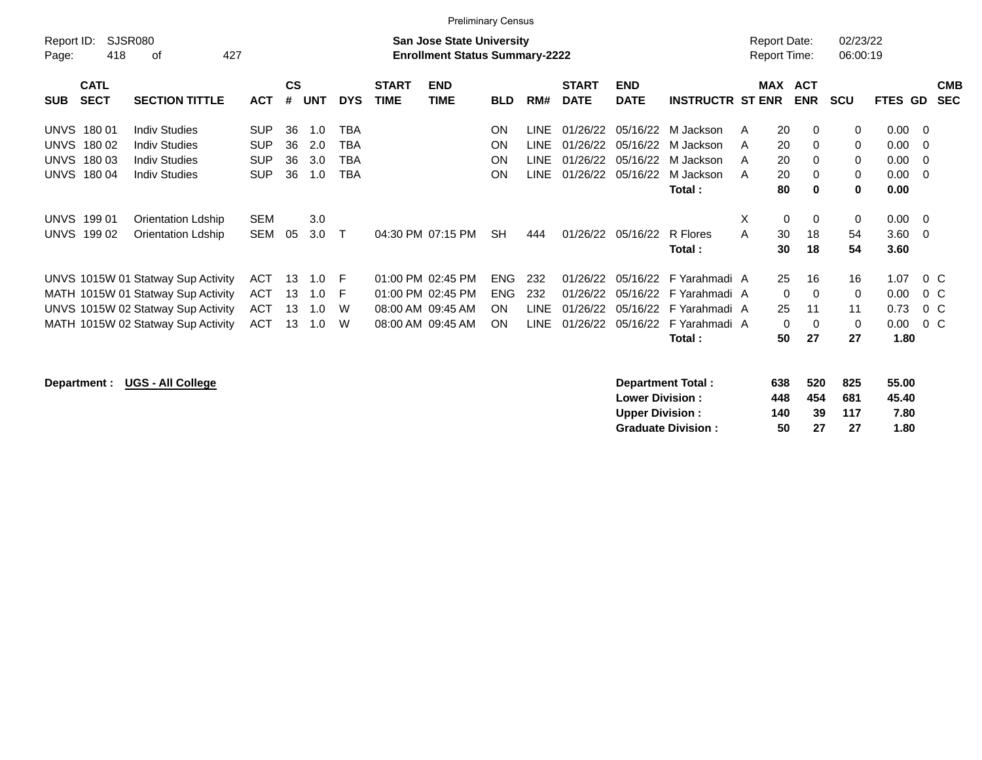| <b>Preliminary Census</b>                                 |                   |                            |                                    |            |                |            |            |                                       |                    |            |             |                             |                           |                         |            |                          |             |                |                          |                          |
|-----------------------------------------------------------|-------------------|----------------------------|------------------------------------|------------|----------------|------------|------------|---------------------------------------|--------------------|------------|-------------|-----------------------------|---------------------------|-------------------------|------------|--------------------------|-------------|----------------|--------------------------|--------------------------|
| SJSR080<br>Report ID:<br><b>San Jose State University</b> |                   |                            |                                    |            |                |            |            |                                       |                    |            |             | <b>Report Date:</b>         |                           | 02/23/22                |            |                          |             |                |                          |                          |
| 418<br>427<br>Page:<br>оf                                 |                   |                            |                                    |            |                |            |            | <b>Enrollment Status Summary-2222</b> |                    |            |             |                             |                           | <b>Report Time:</b>     |            |                          | 06:00:19    |                |                          |                          |
|                                                           | <b>SUB</b>        | <b>CATL</b><br><b>SECT</b> | <b>SECTION TITTLE</b>              | <b>ACT</b> | <b>CS</b><br># | <b>UNT</b> | <b>DYS</b> | <b>START</b><br><b>TIME</b>           | <b>END</b><br>TIME | <b>BLD</b> | RM#         | <b>START</b><br><b>DATE</b> | <b>END</b><br><b>DATE</b> | <b>INSTRUCTR ST ENR</b> | <b>MAX</b> | <b>ACT</b><br><b>ENR</b> | <b>SCU</b>  | <b>FTES GD</b> |                          | <b>CMB</b><br><b>SEC</b> |
|                                                           | <b>UNVS 18001</b> |                            | <b>Indiv Studies</b>               | <b>SUP</b> | 36             | 1.0        | ТВА        |                                       |                    | ON         | <b>LINE</b> | 01/26/22                    | 05/16/22                  | M Jackson               | 20<br>A    | 0                        | 0           | $0.00 \t 0$    |                          |                          |
|                                                           | UNVS              | 180 02                     | <b>Indiv Studies</b>               | <b>SUP</b> | 36             | 2.0        | ТВА        |                                       |                    | ON         | LINE.       | 01/26/22                    | 05/16/22                  | M Jackson               | 20<br>A    | 0                        | $\mathbf 0$ | $0.00 \t 0$    |                          |                          |
|                                                           | <b>UNVS</b>       | 18003                      | <b>Indiv Studies</b>               | <b>SUP</b> | 36             | 3.0        | ТВА        |                                       |                    | <b>ON</b>  | <b>LINE</b> | 01/26/22                    | 05/16/22                  | M Jackson               | 20<br>A    | 0                        | 0           | 0.00           | $\overline{\phantom{0}}$ |                          |
|                                                           | <b>UNVS 18004</b> |                            | <b>Indiv Studies</b>               | <b>SUP</b> | 36             | 1.0        | TBA        |                                       |                    | <b>ON</b>  | LINE        | 01/26/22                    | 05/16/22                  | M Jackson               | 20<br>A    | 0                        | 0           | $0.00 \quad 0$ |                          |                          |
|                                                           |                   |                            |                                    |            |                |            |            |                                       |                    |            |             |                             |                           | Total :                 | 80         | 0                        | $\bf{0}$    | 0.00           |                          |                          |
|                                                           | <b>UNVS 19901</b> |                            | <b>Orientation Ldship</b>          | <b>SEM</b> |                | 3.0        |            |                                       |                    |            |             |                             |                           |                         | X<br>0     | 0                        | 0           | $0.00 \t 0$    |                          |                          |
|                                                           | UNVS              | 19902                      | <b>Orientation Ldship</b>          | SEM        | 05             | 3.0        | $\top$     |                                       | 04:30 PM 07:15 PM  | <b>SH</b>  | 444         | 01/26/22                    | 05/16/22                  | R Flores                | A<br>30    | 18                       | 54          | $3.60 \quad 0$ |                          |                          |
|                                                           |                   |                            |                                    |            |                |            |            |                                       |                    |            |             |                             |                           | Total :                 | 30         | 18                       | 54          | 3.60           |                          |                          |
|                                                           |                   |                            |                                    |            |                |            |            |                                       |                    |            |             |                             |                           |                         |            |                          |             |                |                          |                          |
|                                                           |                   |                            | UNVS 1015W 01 Statway Sup Activity | <b>ACT</b> | 13             | 1.0        | - F        |                                       | 01:00 PM 02:45 PM  | <b>ENG</b> | 232         | 01/26/22                    | 05/16/22                  | F Yarahmadi A           | 25         | 16                       | 16          | 1.07           | $0\,C$                   |                          |
|                                                           |                   |                            | MATH 1015W 01 Statway Sup Activity | <b>ACT</b> | 13             | 1.0        | F          |                                       | 01:00 PM 02:45 PM  | <b>ENG</b> | 232         | 01/26/22                    | 05/16/22                  | F Yarahmadi A           | 0          | 0                        | 0           | 0.00           | $0\,C$                   |                          |
|                                                           |                   |                            | UNVS 1015W 02 Statway Sup Activity | <b>ACT</b> | 13             | 1.0        | W          |                                       | 08:00 AM 09:45 AM  | <b>ON</b>  | <b>LINE</b> | 01/26/22                    | 05/16/22                  | F Yarahmadi A           | 25         | 11                       | 11          | 0.73           | $0\,$ C                  |                          |
|                                                           |                   |                            | MATH 1015W 02 Statway Sup Activity | <b>ACT</b> | 13             | 1.0        | W          |                                       | 08:00 AM 09:45 AM  | <b>ON</b>  | <b>LINE</b> | 01/26/22                    | 05/16/22                  | F Yarahmadi A           | $\Omega$   | 0                        | $\mathbf 0$ | 0.00           | $0\,C$                   |                          |
|                                                           |                   |                            |                                    |            |                |            |            |                                       |                    |            |             |                             |                           | Total :                 | 50         | 27                       | 27          | 1.80           |                          |                          |
|                                                           |                   |                            |                                    |            |                |            |            |                                       |                    |            |             |                             |                           |                         |            |                          |             |                |                          |                          |

| Department: UGS - All College | Department Total:         | 638 | 520  | 825 | 55.00 |
|-------------------------------|---------------------------|-----|------|-----|-------|
|                               | <b>Lower Division:</b>    | 448 | 454  | 681 | 45.40 |
|                               | <b>Upper Division:</b>    | 140 | -39  | 117 | 7.80  |
|                               | <b>Graduate Division:</b> | 50  | - 27 | 27  | 1.80  |